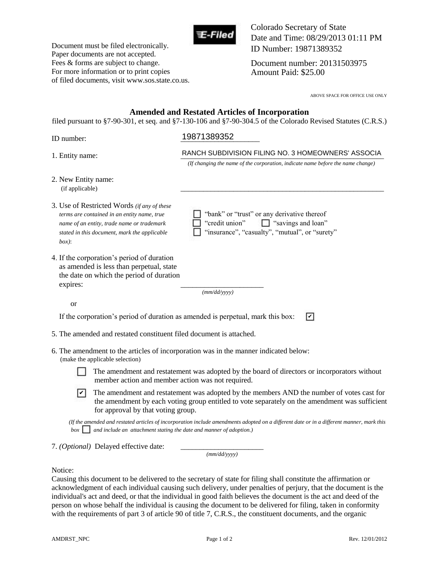

Document must be filed electronically. Paper documents are not accepted. Fees & forms are subject to change. For more information or to print copies of filed documents, visit www.sos.state.co.us. Colorado Secretary of State Date and Time: 08/29/2013 01:11 PM ID Number: 19871389352

Document number: 20131503975 Amount Paid: \$25.00

ABOVE SPACE FOR OFFICE USE ONLY

## **Amended and Restated Articles of Incorporation**

filed pursuant to §7-90-301, et seq. and §7-130-106 and §7-90-304.5 of the Colorado Revised Statutes (C.R.S.)

# ID number: \_\_\_\_\_\_\_\_\_\_\_\_\_\_\_\_\_\_\_\_\_ 19871389352

| 1. Entity name:                                                                                                                                                                                      | RANCH SUBDIVISION FILING NO. 3 HOMEOWNERS' ASSOCIA                                                                                           |  |
|------------------------------------------------------------------------------------------------------------------------------------------------------------------------------------------------------|----------------------------------------------------------------------------------------------------------------------------------------------|--|
|                                                                                                                                                                                                      | (If changing the name of the corporation, indicate name before the name change)                                                              |  |
| 2. New Entity name:<br>(if applicable)                                                                                                                                                               |                                                                                                                                              |  |
| 3. Use of Restricted Words (if any of these<br>terms are contained in an entity name, true<br>name of an entity, trade name or trademark<br>stated in this document, mark the applicable<br>$box)$ : | "bank" or "trust" or any derivative thereof<br>"credit union"<br>$\Box$ "savings and loan"<br>"insurance", "casualty", "mutual", or "surety" |  |
| 4. If the corporation's period of duration<br>as amended is less than perpetual, state<br>the date on which the period of duration<br>expires:                                                       | (mm/dd/vyyy)                                                                                                                                 |  |
| <sub>or</sub>                                                                                                                                                                                        |                                                                                                                                              |  |
| If the corporation's period of duration as amended is perpetual, mark this box:                                                                                                                      | ☑                                                                                                                                            |  |
| 5. The amended and restated constituent filed document is attached.                                                                                                                                  |                                                                                                                                              |  |
| (make the applicable selection)                                                                                                                                                                      | 6. The amendment to the articles of incorporation was in the manner indicated below:                                                         |  |
| member action and member action was not required.                                                                                                                                                    | The amendment and restatement was adopted by the board of directors or incorporators without                                                 |  |

 $\triangleright$  The amendment and restatement was adopted by the members AND the number of votes cast for the amendment by each voting group orticled to vote concretely an the amendment was areficient the amendment by each voting group entitled to vote separately on the amendment was sufficient for approval by that voting group.

 *(If the amended and restated articles of incorporation include amendments adopted on a different date or in a different manner, mark this b bi be amended and restated articles of incorporation include amendments adopion.*)<br>box and include an attachment stating the date and manner of adoption.)

7. *(Optional)* Delayed effective date:

*(mm/dd/yyyy)*

## Notice:

Causing this document to be delivered to the secretary of state for filing shall constitute the affirmation or acknowledgment of each individual causing such delivery, under penalties of perjury, that the document is the individual's act and deed, or that the individual in good faith believes the document is the act and deed of the person on whose behalf the individual is causing the document to be delivered for filing, taken in conformity with the requirements of part 3 of article 90 of title 7, C.R.S., the constituent documents, and the organic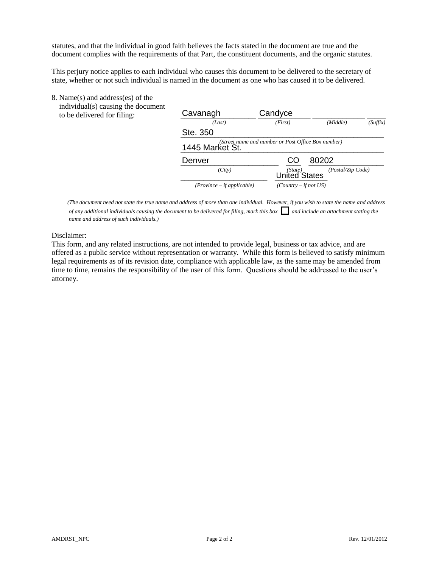statutes, and that the individual in good faith believes the facts stated in the document are true and the document complies with the requirements of that Part, the constituent documents, and the organic statutes.

This perjury notice applies to each individual who causes this document to be delivered to the secretary of state, whether or not such individual is named in the document as one who has caused it to be delivered.

8. Name(s) and address(es) of the

 individual(s) causing the document to be delivered for filing:

| individual(s) causing the document<br>to be delivered for filing: | Cavanagh                     | Candyce                                            |
|-------------------------------------------------------------------|------------------------------|----------------------------------------------------|
|                                                                   | (Last)                       | (Suffix)<br>(Middle)<br>(First)                    |
|                                                                   | Ste. 350                     |                                                    |
|                                                                   | 1445 Market St.              | (Street name and number or Post Office Box number) |
|                                                                   | Denver                       | CO<br>80202                                        |
|                                                                   | (City)                       | (Postal/Zip Code)<br>United States                 |
|                                                                   | $(Province - if applicable)$ | $(Country - if not US)$                            |

 *(The document need not state the true name and address of more than one individual. However, if you wish to state the name and address of any additional individuals causing the document to be delivered for filing, mark this box*  $\Box$  *and include an attachment stating the name and address of such individuals.)*

Disclaimer:

This form, and any related instructions, are not intended to provide legal, business or tax advice, and are offered as a public service without representation or warranty. While this form is believed to satisfy minimum legal requirements as of its revision date, compliance with applicable law, as the same may be amended from time to time, remains the responsibility of the user of this form. Questions should be addressed to the user's attorney.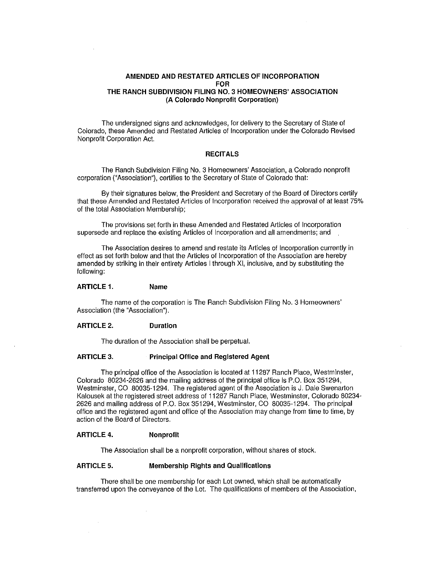## AMENDED AND RESTATED ARTICLES OF INCORPORATION FOR THE RANCH SUBDIVISION FILING NO.3 HOMEOWNERS' ASSOCIATION (A Colorado Nonprofit Corporation)

The undersigned signs and acknowledges, for delivery to the Secretary of State of Colorado, these Amended and Restated Articles of Incorporation under the Colorado Revised Nonprofit Corporation Act.

### **RECITALS**

The Ranch Subdivision Filing No.3 Homeowners' Association, a Colorado nonprofit corporation ("Association"), certifies to the Secretary of State of Colorado that:

By their signatures below, the President and Secretary of the Board of Directors certify that these Amended and Restated Articles of Incorporation received the approval of at least 75% of the total Association Membership;

The provisions set forth in these Amended and Restated Articles of Incorporation supersede and replace the existing Articles of Incorporation and all amendments; and

The Association desires to amend and restate its Articles of Incorporation currently in effect as set forth below and that the Articles of Incorporation of the Association are hereby amended by striking in their entirety Articles I through XI, inclusive, and by substituting the following:

#### ARTICLE 1. Name

The name of the corporation is The Ranch Subdivision Filing No.3 Homeowners' Association (the "Association").

#### ARTICLE 2. Duration

The duration of the Association shall be perpetual.

#### ARTICLE 3. Principal Office and Registered Agent

The principal office of the Association is located at 11287 Ranch Place, Westminster, Colorado 80234·2626 and the mailing address of the principal office is P.O. Box 351294, Westminster, CO 80035·1294. The registered agent of the Association is J. Dale Swenarton Kalousek at the registered street address of 11287 Ranch Place, Westminster, Colorado 80234-2626 and mailing address of P.O. Box 351294, Westminster, CO 80035-1294. The principal office and the registered agent and office of the Association may change from time to time, by action of the Board of Directors.

#### ARTICLE 4. Nonprofit

 $\bar{L}$ 

The Association shall be a nonprofit corporation, without shares of stock.

#### ARTICLE 5. Membership Rights and Qualifications

There shall be one membership for each Lot owned, which shall be automatically transferred upon the conveyance of the Lot. The qualifications of members of the Association,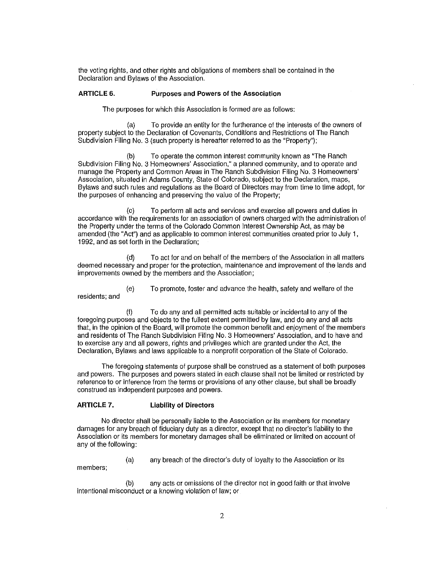the voting rights, and other rights and obligations of members shall be contained in the Declaration and Bylaws of the Association.

#### ARTICLE 6. Purposes and Powers of the Association

The purposes for which this Association is formed are as follows:

(a) To provide an entity for the furtherance of the interests of the owners of property subject to the Declaration of Covenants, Conditions and Restrictions of The Ranch Subdivision Filing No. 3 (such property is hereafter referred to as the "Property"):

(b) To operate the common interest community known as "The Ranch Subdivision Filing No. 3 Homeowners' Association," a planned community, and to operate and manage the Property and Common Areas in The Ranch Subdivision Filing No.3 Homeowners' Association, situated in Adams County, State of Colorado, subject to the Declaration, maps, Bylaws and such rules and regulations as the Board of Directors may from time to time adopt, for the purposes of enhancing and preserving the value of the Property;

(c) To perform all acts and services and exercise all powers and duties in accordance with the requirements for an association of owners charged with the administration of the Property under the terms of the Colorado Common Interest Ownership Act, as may be amended (the "Act") and as applicable to common interest communities created prior to July 1, 1992, and as set forth in the Declaration;

(d) To act for and on behalf of the members of the Association in all matters deemed necessary and proper for the protection, maintenance and improvement of the lands and improvements owned by the members and the Association;

(e) To promote, foster and advance the health, safety and welfare of the residents; and

(f) To do any and all permitted acts suitable or incidental to any of the foregoing purposes and objects to the fullest extent permitted by law, and do any and all acts that, in the opinion of the Board, will promote the common benefit and enjoyment of the members and residents of The Ranch Subdivision Filing NO.3 Homeowners' Association, and to have and to exercise any and all powers, rights and privileges which are granted under the Act, the Declaration, Bylaws and laws applicable to a nonprofit corporation of the State of Colorado.

The foregoing statements of purpose shall be construed as a statement of both purposes and powers. The purposes and powers stated in each clause shall not be limited or restricted by reference to or inference from the terms or provisions of any other clause, but shall be broadly construed as independent purposes and powers.

#### ARTICLE 7. Liability of Directors

No director shall be personally liable to the Association or its members for monetary damages for any breach of fiduciary duty as a director, except that no director's liability to the Association or its members for monetary damages shall be eliminated or limited on account of any of the following:

(a) any breach of the director's duty of loyalty to the Association or its

members;

(b) any acts or omissions of the director not in good faith or that involve intentional misconduct or a knowing violation of law; or